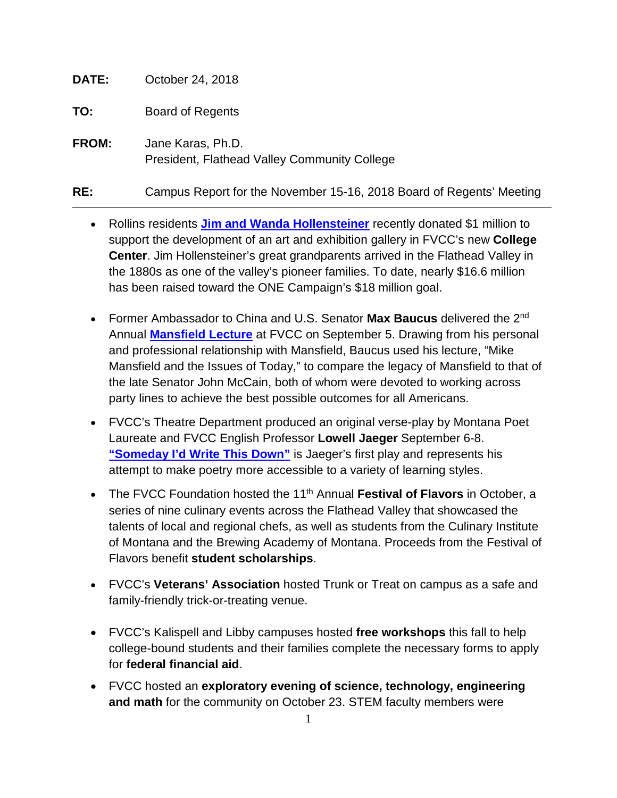**DATE:** October 24, 2018

**TO:** Board of Regents

**FROM:** Jane Karas, Ph.D. President, Flathead Valley Community College

**RE:** Campus Report for the November 15-16, 2018 Board of Regents' Meeting

- Rollins residents **[Jim and Wanda Hollensteiner](https://flatheadbeacon.com/2018/09/18/rollins-family-gives-1-million-gift-flathead-valley-community-college/)** recently donated \$1 million to support the development of an art and exhibition gallery in FVCC's new **College Center**. Jim Hollensteiner's great grandparents arrived in the Flathead Valley in the 1880s as one of the valley's pioneer families. To date, nearly \$16.6 million has been raised toward the ONE Campaign's \$18 million goal.
- Former Ambassador to China and U.S. Senator **Max Baucus** delivered the 2nd Annual **[Mansfield Lecture](https://www.dailyinterlake.com/local_news/20180906/baucus_calls_for_bipartisanship_at_mansfield_lecture)** at FVCC on September 5. Drawing from his personal and professional relationship with Mansfield, Baucus used his lecture, "Mike Mansfield and the Issues of Today," to compare the legacy of Mansfield to that of the late Senator John McCain, both of whom were devoted to working across party lines to achieve the best possible outcomes for all Americans.
- FVCC's Theatre Department produced an original verse-play by Montana Poet Laureate and FVCC English Professor **Lowell Jaeger** September 6-8. **["Someday I'd Write](https://livelytimes.com/2018/08/lowell-jaeger-premieres-poem-play/) This Down"** is Jaeger's first play and represents his attempt to make poetry more accessible to a variety of learning styles.
- The FVCC Foundation hosted the 11<sup>th</sup> Annual Festival of Flavors in October, a series of nine culinary events across the Flathead Valley that showcased the talents of local and regional chefs, as well as students from the Culinary Institute of Montana and the Brewing Academy of Montana. Proceeds from the Festival of Flavors benefit **student scholarships**.
- FVCC's **Veterans' Association** hosted Trunk or Treat on campus as a safe and family-friendly trick-or-treating venue.
- FVCC's Kalispell and Libby campuses hosted **free workshops** this fall to help college-bound students and their families complete the necessary forms to apply for **federal financial aid**.
- FVCC hosted an **exploratory evening of science, technology, engineering and math** for the community on October 23. STEM faculty members were